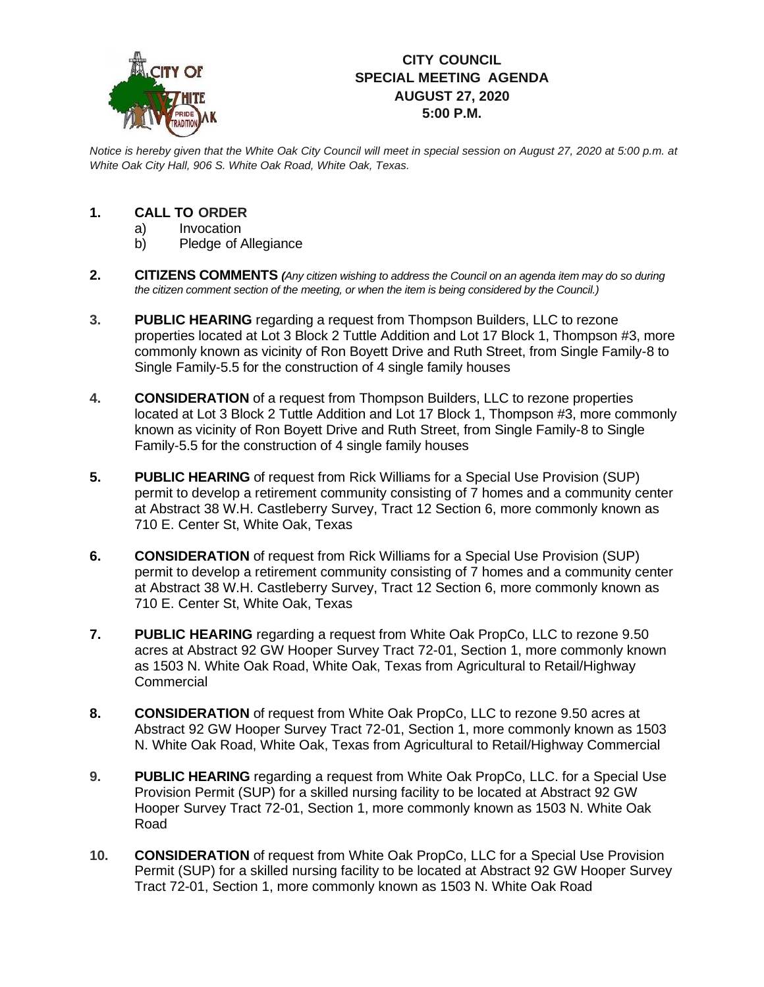

## **CITY COUNCIL SPECIAL MEETING AGENDA AUGUST 27, 2020 5:00 P.M.**

*Notice is hereby given that the White Oak City Council will meet in special session on August 27, 2020 at 5:00 p.m. at White Oak City Hall, 906 S. White Oak Road, White Oak, Texas.*

## **1. CALL TO ORDER**

- a) Invocation
- b) Pledge of Allegiance
- **2. CITIZENS COMMENTS** *(Any citizen wishing to address the Council on an agenda item may do so during the citizen comment section of the meeting, or when the item is being considered by the Council.)*
- **3. PUBLIC HEARING** regarding a request from Thompson Builders, LLC to rezone properties located at Lot 3 Block 2 Tuttle Addition and Lot 17 Block 1, Thompson #3, more commonly known as vicinity of Ron Boyett Drive and Ruth Street, from Single Family-8 to Single Family-5.5 for the construction of 4 single family houses
- **4. CONSIDERATION** of a request from Thompson Builders, LLC to rezone properties located at Lot 3 Block 2 Tuttle Addition and Lot 17 Block 1, Thompson #3, more commonly known as vicinity of Ron Boyett Drive and Ruth Street, from Single Family-8 to Single Family-5.5 for the construction of 4 single family houses
- **5. PUBLIC HEARING** of request from Rick Williams for a Special Use Provision (SUP) permit to develop a retirement community consisting of 7 homes and a community center at Abstract 38 W.H. Castleberry Survey, Tract 12 Section 6, more commonly known as 710 E. Center St, White Oak, Texas
- **6. CONSIDERATION** of request from Rick Williams for a Special Use Provision (SUP) permit to develop a retirement community consisting of 7 homes and a community center at Abstract 38 W.H. Castleberry Survey, Tract 12 Section 6, more commonly known as 710 E. Center St, White Oak, Texas
- **7. PUBLIC HEARING** regarding a request from White Oak PropCo, LLC to rezone 9.50 acres at Abstract 92 GW Hooper Survey Tract 72-01, Section 1, more commonly known as 1503 N. White Oak Road, White Oak, Texas from Agricultural to Retail/Highway **Commercial**
- **8. CONSIDERATION** of request from White Oak PropCo, LLC to rezone 9.50 acres at Abstract 92 GW Hooper Survey Tract 72-01, Section 1, more commonly known as 1503 N. White Oak Road, White Oak, Texas from Agricultural to Retail/Highway Commercial
- **9. PUBLIC HEARING** regarding a request from White Oak PropCo, LLC. for a Special Use Provision Permit (SUP) for a skilled nursing facility to be located at Abstract 92 GW Hooper Survey Tract 72-01, Section 1, more commonly known as 1503 N. White Oak Road
- **10. CONSIDERATION** of request from White Oak PropCo, LLC for a Special Use Provision Permit (SUP) for a skilled nursing facility to be located at Abstract 92 GW Hooper Survey Tract 72-01, Section 1, more commonly known as 1503 N. White Oak Road